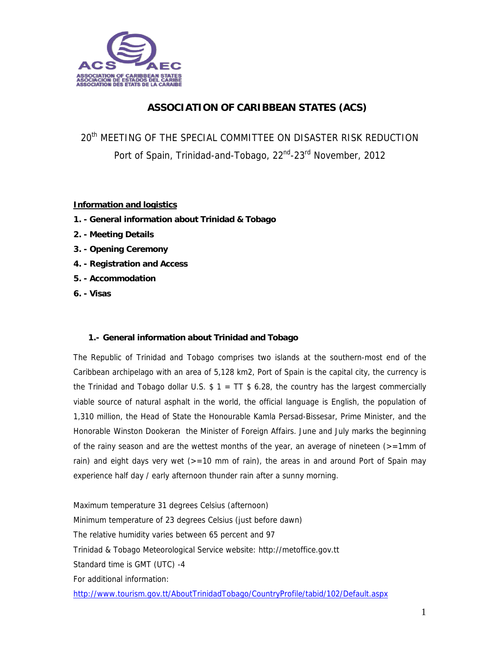

# **ASSOCIATION OF CARIBBEAN STATES (ACS)**

20<sup>th</sup> MEETING OF THE SPECIAL COMMITTEE ON DISASTER RISK REDUCTION Port of Spain, Trinidad-and-Tobago, 22<sup>nd</sup>-23<sup>rd</sup> November, 2012

### **Information and logistics**

- **1. General information about Trinidad & Tobago**
- **2. Meeting Details**
- **3. Opening Ceremony**
- **4. Registration and Access**
- **5. Accommodation**
- **6. Visas**

#### **1.- General information about Trinidad and Tobago**

The Republic of Trinidad and Tobago comprises two islands at the southern-most end of the Caribbean archipelago with an area of 5,128 km2, Port of Spain is the capital city, the currency is the Trinidad and Tobago dollar U.S.  $$ 1 = TT $ 6.28$ , the country has the largest commercially viable source of natural asphalt in the world, the official language is English, the population of 1,310 million, the Head of State the Honourable Kamla Persad-Bissesar, Prime Minister, and the Honorable Winston Dookeran the Minister of Foreign Affairs. June and July marks the beginning of the rainy season and are the wettest months of the year, an average of nineteen  $\epsilon$ =1mm of rain) and eight days very wet  $(>=10 \text{ mm of rain})$ , the areas in and around Port of Spain may experience half day / early afternoon thunder rain after a sunny morning.

Maximum temperature 31 degrees Celsius (afternoon) Minimum temperature of 23 degrees Celsius (just before dawn) The relative humidity varies between 65 percent and 97 Trinidad & Tobago Meteorological Service website: http://metoffice.gov.tt Standard time is GMT (UTC) -4 For additional information: http://www.tourism.gov.tt/AboutTrinidadTobago/CountryProfile/tabid/102/Default.aspx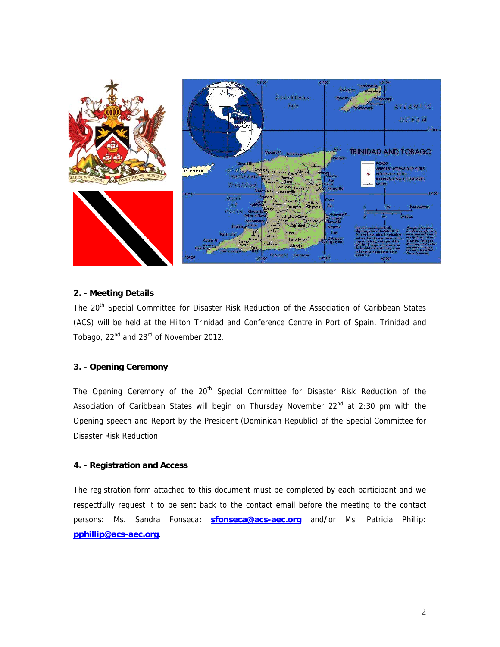

#### **2. - Meeting Details**

The 20<sup>th</sup> Special Committee for Disaster Risk Reduction of the Association of Caribbean States (ACS) will be held at the Hilton Trinidad and Conference Centre in Port of Spain, Trinidad and Tobago, 22<sup>nd</sup> and 23<sup>rd</sup> of November 2012.

#### **3. - Opening Ceremony**

The Opening Ceremony of the 20<sup>th</sup> Special Committee for Disaster Risk Reduction of the Association of Caribbean States will begin on Thursday November  $22<sup>nd</sup>$  at 2:30 pm with the Opening speech and Report by the President (Dominican Republic) of the Special Committee for Disaster Risk Reduction.

#### **4. - Registration and Access**

The registration form attached to this document must be completed by each participant and we respectfully request it to be sent back to the contact email before the meeting to the contact persons: Ms. Sandra Fonseca**: sfonseca@acs-aec.org** and**/**or Ms. Patricia Phillip: **pphillip@acs-aec.org**.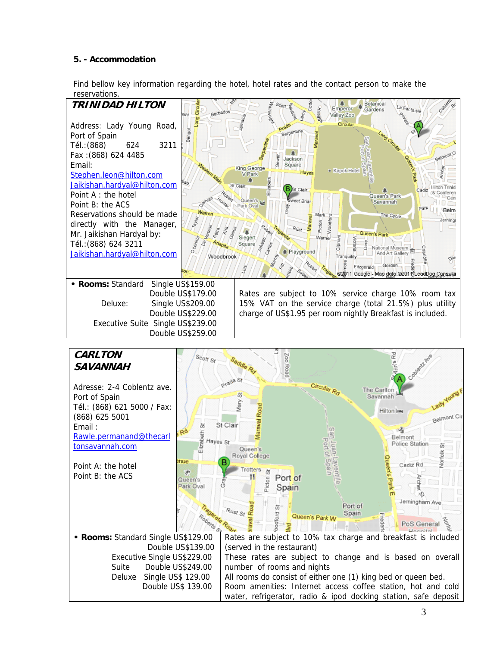## **5. - Accommodation**

Find bellow key information regarding the hotel, hotel rates and the contact person to make the reservations.



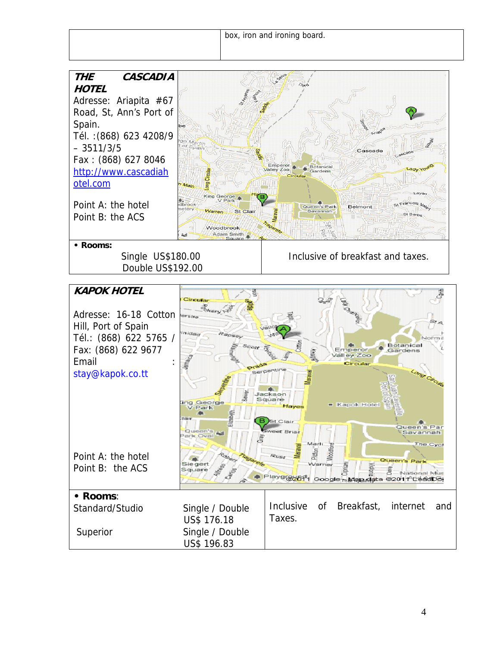

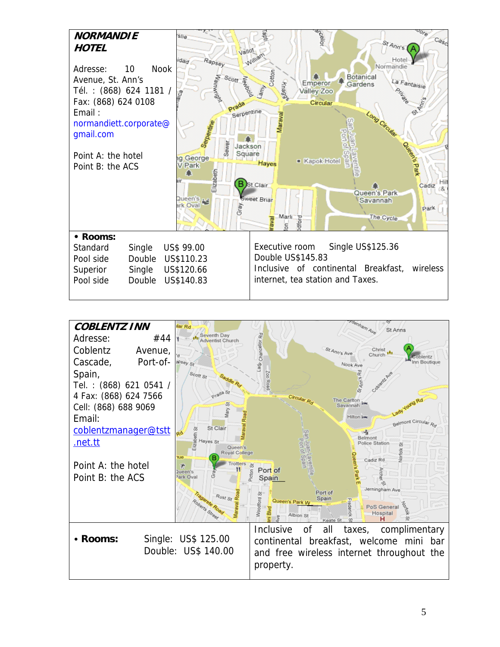| <b>NORMANDIE</b><br><b>HOTEL</b><br>Adresse:<br>Avenue, St. Ann's<br>Tél.: (868) 624 1181 /<br>Fax: (868) 624 0108<br>Email:<br>normandiett.corporate@<br>gmail.com<br>Point A: the hotel<br>Point B: the ACS | <b>Nook</b><br>10          | Slie<br><b>Vallot</b><br>Rapsey<br>idad<br>Scott Range<br>Serpentine<br>Serpentin<br>Sewer<br>g George<br>V Park<br>Elizabeth<br>aіг<br>Queen's<br>ark Oval | $C_{\partial g_C}$<br>St Ann's<br>Normandie<br>ottor<br>Botanical<br>La Fantaisie<br>Emperor<br>Knagg<br>Gardens<br>Valley Zoo<br>Circular<br>GLAE<br>Maraval<br>Long Circular<br>Jackson<br>Square<br>■ Kapok Hotel<br>Hayes<br>Park<br>Hit<br><b>B</b> ) St.Clair<br>Cadiz<br>Queen's Park<br>Sweet Brian<br>Savannah<br>Park<br>Marli<br>The Cycle<br>dford |
|---------------------------------------------------------------------------------------------------------------------------------------------------------------------------------------------------------------|----------------------------|-------------------------------------------------------------------------------------------------------------------------------------------------------------|----------------------------------------------------------------------------------------------------------------------------------------------------------------------------------------------------------------------------------------------------------------------------------------------------------------------------------------------------------------|
| • Rooms:<br>Standard<br>Pool side<br>Superior<br>Pool side                                                                                                                                                    | Single<br>Single<br>Double | US\$ 99.00<br>Double US\$110.23<br>US\$120.66<br>US\$140.83                                                                                                 | Single US\$125.36<br>Executive room<br>Double US\$145.83<br>Inclusive of continental Breakfast,<br>wireless<br>internet, tea station and Taxes.                                                                                                                                                                                                                |